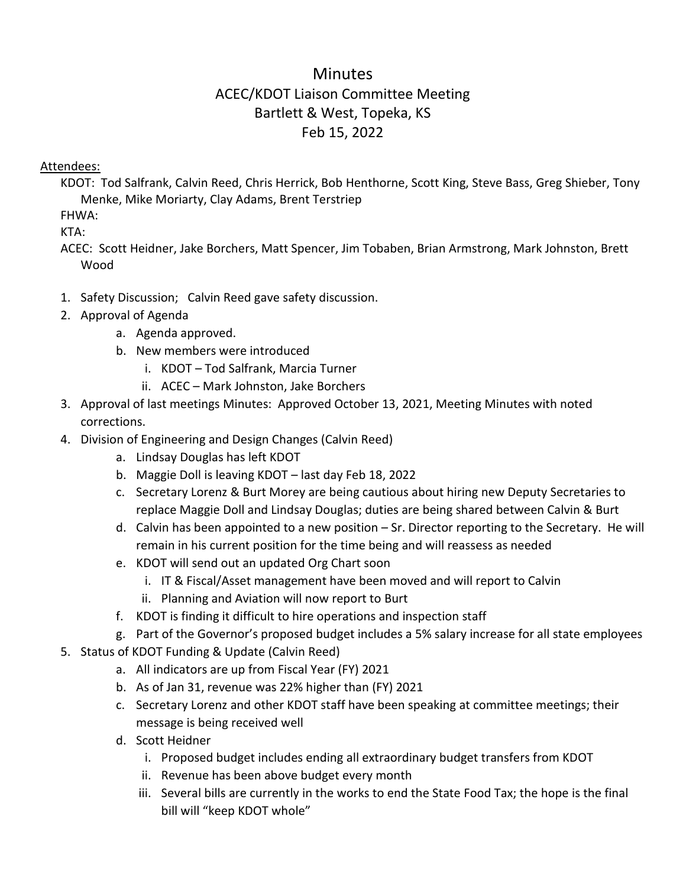## **Minutes** ACEC/KDOT Liaison Committee Meeting Bartlett & West, Topeka, KS Feb 15, 2022

## Attendees:

KDOT: Tod Salfrank, Calvin Reed, Chris Herrick, Bob Henthorne, Scott King, Steve Bass, Greg Shieber, Tony Menke, Mike Moriarty, Clay Adams, Brent Terstriep

FHWA:

KTA:

ACEC: Scott Heidner, Jake Borchers, Matt Spencer, Jim Tobaben, Brian Armstrong, Mark Johnston, Brett Wood

- 1. Safety Discussion; Calvin Reed gave safety discussion.
- 2. Approval of Agenda
	- a. Agenda approved.
	- b. New members were introduced
		- i. KDOT Tod Salfrank, Marcia Turner
		- ii. ACEC Mark Johnston, Jake Borchers
- 3. Approval of last meetings Minutes: Approved October 13, 2021, Meeting Minutes with noted corrections.
- 4. Division of Engineering and Design Changes (Calvin Reed)
	- a. Lindsay Douglas has left KDOT
	- b. Maggie Doll is leaving KDOT last day Feb 18, 2022
	- c. Secretary Lorenz & Burt Morey are being cautious about hiring new Deputy Secretaries to replace Maggie Doll and Lindsay Douglas; duties are being shared between Calvin & Burt
	- d. Calvin has been appointed to a new position Sr. Director reporting to the Secretary. He will remain in his current position for the time being and will reassess as needed
	- e. KDOT will send out an updated Org Chart soon
		- i. IT & Fiscal/Asset management have been moved and will report to Calvin
		- ii. Planning and Aviation will now report to Burt
	- f. KDOT is finding it difficult to hire operations and inspection staff
	- g. Part of the Governor's proposed budget includes a 5% salary increase for all state employees
- 5. Status of KDOT Funding & Update (Calvin Reed)
	- a. All indicators are up from Fiscal Year (FY) 2021
	- b. As of Jan 31, revenue was 22% higher than (FY) 2021
	- c. Secretary Lorenz and other KDOT staff have been speaking at committee meetings; their message is being received well
	- d. Scott Heidner
		- i. Proposed budget includes ending all extraordinary budget transfers from KDOT
		- ii. Revenue has been above budget every month
		- iii. Several bills are currently in the works to end the State Food Tax; the hope is the final bill will "keep KDOT whole"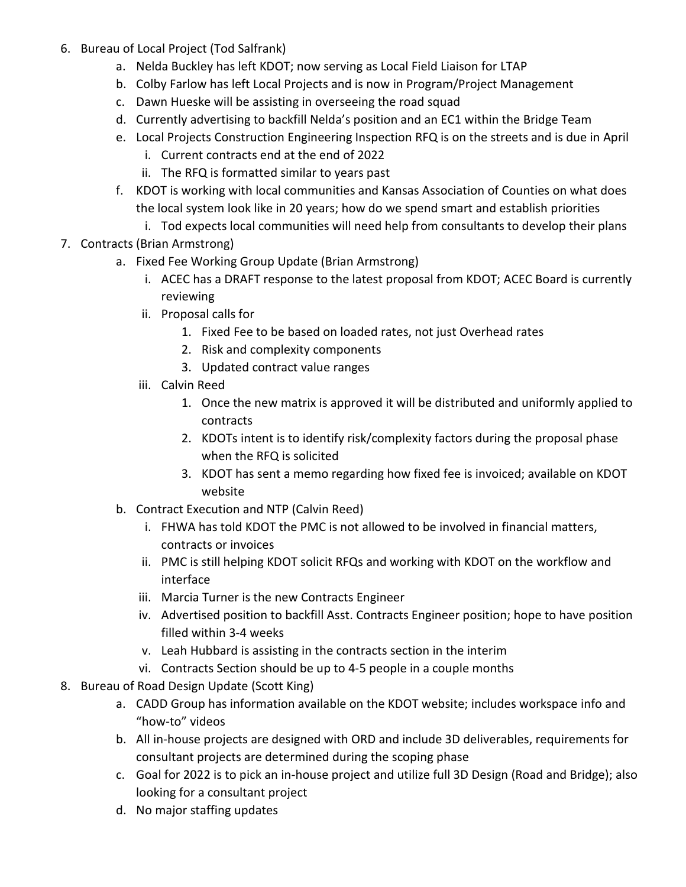- 6. Bureau of Local Project (Tod Salfrank)
	- a. Nelda Buckley has left KDOT; now serving as Local Field Liaison for LTAP
	- b. Colby Farlow has left Local Projects and is now in Program/Project Management
	- c. Dawn Hueske will be assisting in overseeing the road squad
	- d. Currently advertising to backfill Nelda's position and an EC1 within the Bridge Team
	- e. Local Projects Construction Engineering Inspection RFQ is on the streets and is due in April
		- i. Current contracts end at the end of 2022
		- ii. The RFQ is formatted similar to years past
	- f. KDOT is working with local communities and Kansas Association of Counties on what does the local system look like in 20 years; how do we spend smart and establish priorities
		- i. Tod expects local communities will need help from consultants to develop their plans
- 7. Contracts (Brian Armstrong)
	- a. Fixed Fee Working Group Update (Brian Armstrong)
		- i. ACEC has a DRAFT response to the latest proposal from KDOT; ACEC Board is currently reviewing
		- ii. Proposal calls for
			- 1. Fixed Fee to be based on loaded rates, not just Overhead rates
			- 2. Risk and complexity components
			- 3. Updated contract value ranges
		- iii. Calvin Reed
			- 1. Once the new matrix is approved it will be distributed and uniformly applied to contracts
			- 2. KDOTs intent is to identify risk/complexity factors during the proposal phase when the RFQ is solicited
			- 3. KDOT has sent a memo regarding how fixed fee is invoiced; available on KDOT website
	- b. Contract Execution and NTP (Calvin Reed)
		- i. FHWA has told KDOT the PMC is not allowed to be involved in financial matters, contracts or invoices
		- ii. PMC is still helping KDOT solicit RFQs and working with KDOT on the workflow and interface
		- iii. Marcia Turner is the new Contracts Engineer
		- iv. Advertised position to backfill Asst. Contracts Engineer position; hope to have position filled within 3-4 weeks
		- v. Leah Hubbard is assisting in the contracts section in the interim
		- vi. Contracts Section should be up to 4-5 people in a couple months
- 8. Bureau of Road Design Update (Scott King)
	- a. CADD Group has information available on the KDOT website; includes workspace info and "how-to" videos
	- b. All in-house projects are designed with ORD and include 3D deliverables, requirements for consultant projects are determined during the scoping phase
	- c. Goal for 2022 is to pick an in-house project and utilize full 3D Design (Road and Bridge); also looking for a consultant project
	- d. No major staffing updates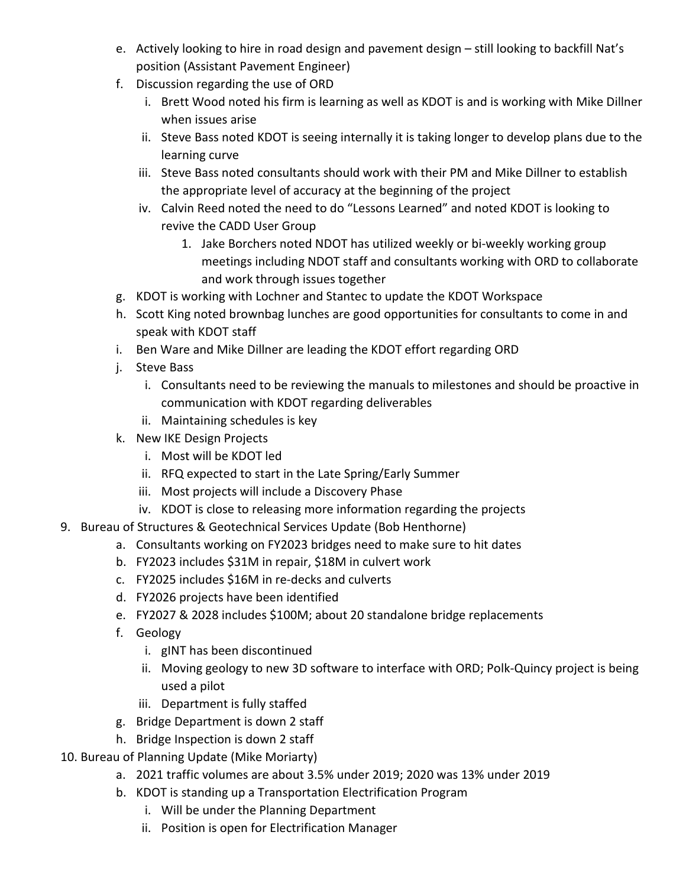- e. Actively looking to hire in road design and pavement design still looking to backfill Nat's position (Assistant Pavement Engineer)
- f. Discussion regarding the use of ORD
	- i. Brett Wood noted his firm is learning as well as KDOT is and is working with Mike Dillner when issues arise
	- ii. Steve Bass noted KDOT is seeing internally it is taking longer to develop plans due to the learning curve
	- iii. Steve Bass noted consultants should work with their PM and Mike Dillner to establish the appropriate level of accuracy at the beginning of the project
	- iv. Calvin Reed noted the need to do "Lessons Learned" and noted KDOT is looking to revive the CADD User Group
		- 1. Jake Borchers noted NDOT has utilized weekly or bi-weekly working group meetings including NDOT staff and consultants working with ORD to collaborate and work through issues together
- g. KDOT is working with Lochner and Stantec to update the KDOT Workspace
- h. Scott King noted brownbag lunches are good opportunities for consultants to come in and speak with KDOT staff
- i. Ben Ware and Mike Dillner are leading the KDOT effort regarding ORD
- j. Steve Bass
	- i. Consultants need to be reviewing the manuals to milestones and should be proactive in communication with KDOT regarding deliverables
	- ii. Maintaining schedules is key
- k. New IKE Design Projects
	- i. Most will be KDOT led
	- ii. RFQ expected to start in the Late Spring/Early Summer
	- iii. Most projects will include a Discovery Phase
	- iv. KDOT is close to releasing more information regarding the projects
- 9. Bureau of Structures & Geotechnical Services Update (Bob Henthorne)
	- a. Consultants working on FY2023 bridges need to make sure to hit dates
	- b. FY2023 includes \$31M in repair, \$18M in culvert work
	- c. FY2025 includes \$16M in re-decks and culverts
	- d. FY2026 projects have been identified
	- e. FY2027 & 2028 includes \$100M; about 20 standalone bridge replacements
	- f. Geology
		- i. gINT has been discontinued
		- ii. Moving geology to new 3D software to interface with ORD; Polk-Quincy project is being used a pilot
		- iii. Department is fully staffed
	- g. Bridge Department is down 2 staff
	- h. Bridge Inspection is down 2 staff
- 10. Bureau of Planning Update (Mike Moriarty)
	- a. 2021 traffic volumes are about 3.5% under 2019; 2020 was 13% under 2019
	- b. KDOT is standing up a Transportation Electrification Program
		- i. Will be under the Planning Department
		- ii. Position is open for Electrification Manager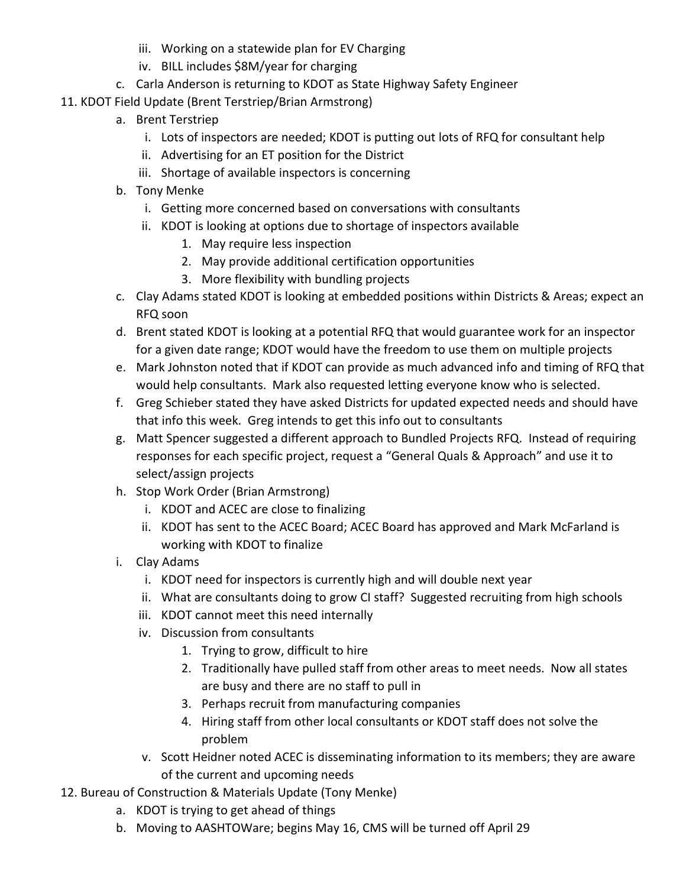- iii. Working on a statewide plan for EV Charging
- iv. BILL includes \$8M/year for charging
- c. Carla Anderson is returning to KDOT as State Highway Safety Engineer
- 11. KDOT Field Update (Brent Terstriep/Brian Armstrong)
	- a. Brent Terstriep
		- i. Lots of inspectors are needed; KDOT is putting out lots of RFQ for consultant help
		- ii. Advertising for an ET position for the District
		- iii. Shortage of available inspectors is concerning
	- b. Tony Menke
		- i. Getting more concerned based on conversations with consultants
		- ii. KDOT is looking at options due to shortage of inspectors available
			- 1. May require less inspection
			- 2. May provide additional certification opportunities
			- 3. More flexibility with bundling projects
	- c. Clay Adams stated KDOT is looking at embedded positions within Districts & Areas; expect an RFQ soon
	- d. Brent stated KDOT is looking at a potential RFQ that would guarantee work for an inspector for a given date range; KDOT would have the freedom to use them on multiple projects
	- e. Mark Johnston noted that if KDOT can provide as much advanced info and timing of RFQ that would help consultants. Mark also requested letting everyone know who is selected.
	- f. Greg Schieber stated they have asked Districts for updated expected needs and should have that info this week. Greg intends to get this info out to consultants
	- g. Matt Spencer suggested a different approach to Bundled Projects RFQ. Instead of requiring responses for each specific project, request a "General Quals & Approach" and use it to select/assign projects
	- h. Stop Work Order (Brian Armstrong)
		- i. KDOT and ACEC are close to finalizing
		- ii. KDOT has sent to the ACEC Board; ACEC Board has approved and Mark McFarland is working with KDOT to finalize
	- i. Clay Adams
		- i. KDOT need for inspectors is currently high and will double next year
		- ii. What are consultants doing to grow CI staff? Suggested recruiting from high schools
		- iii. KDOT cannot meet this need internally
		- iv. Discussion from consultants
			- 1. Trying to grow, difficult to hire
			- 2. Traditionally have pulled staff from other areas to meet needs. Now all states are busy and there are no staff to pull in
			- 3. Perhaps recruit from manufacturing companies
			- 4. Hiring staff from other local consultants or KDOT staff does not solve the problem
		- v. Scott Heidner noted ACEC is disseminating information to its members; they are aware of the current and upcoming needs
- 12. Bureau of Construction & Materials Update (Tony Menke)
	- a. KDOT is trying to get ahead of things
	- b. Moving to AASHTOWare; begins May 16, CMS will be turned off April 29